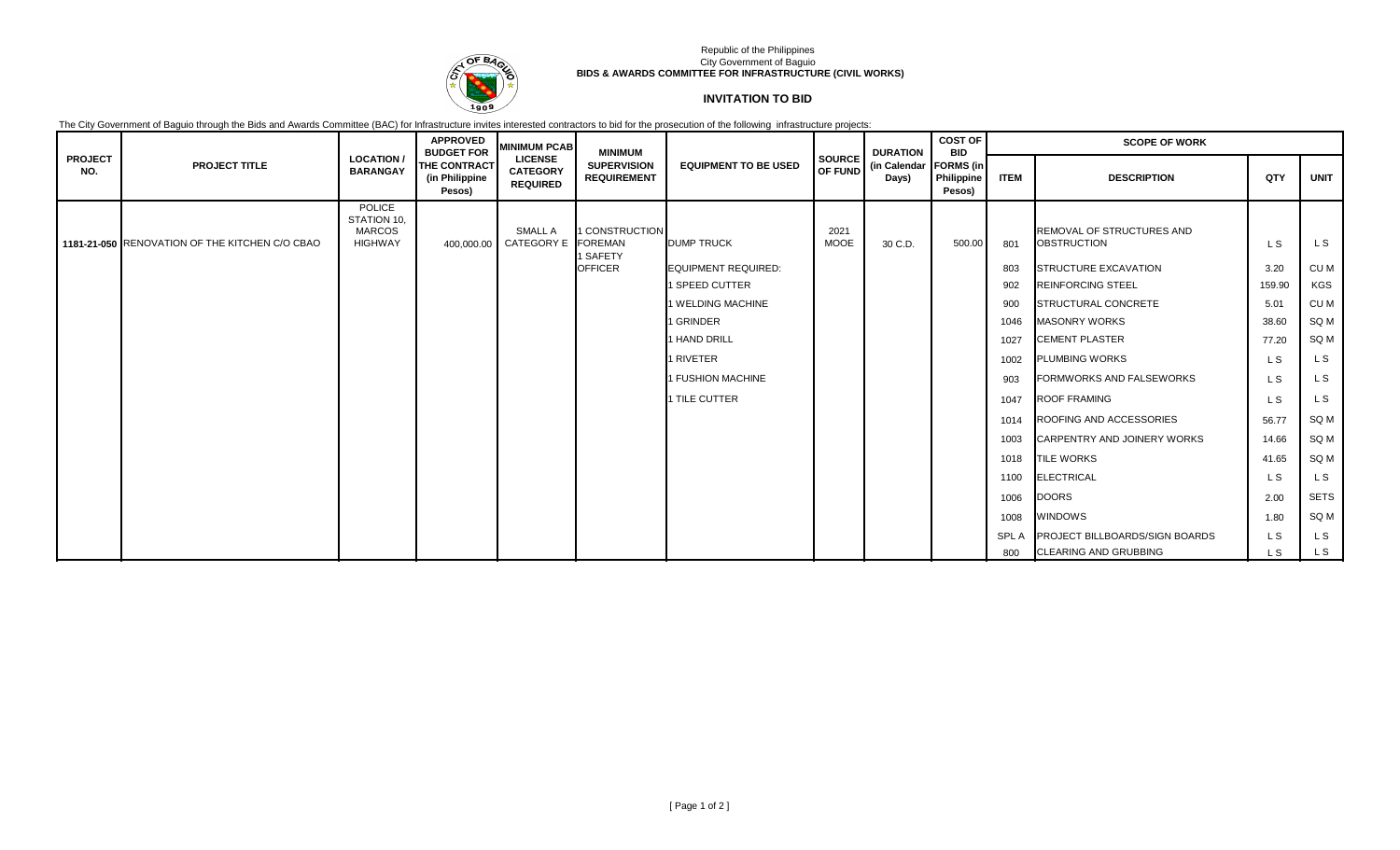

## Republic of the Philippines City Government of Baguio **BIDS & AWARDS COMMITTEE FOR INFRASTRUCTURE (CIVIL WORKS)**

## **INVITATION TO BID**

The City Government of Baguio through the Bids and Awards Committee (BAC) for Infrastructure invites interested contractors to bid for the prosecution of the following infrastructure projects:

| <b>PROJECT</b><br>NO. | <b>PROJECT TITLE</b>                           | <b>LOCATION</b><br><b>BARANGAY</b>                       | <b>APPROVED</b><br><b>BUDGET FOR</b><br>THE CONTRACT<br>(in Philippine<br>Pesos) | <b>MINIMUM PCAB</b>                                  | <b>MINIMUM</b><br><b>SUPERVISION</b><br><b>REQUIREMENT</b> | <b>EQUIPMENT TO BE USED</b> | <b>SOURCE</b>       | <b>DURATION</b><br>OF FUND (in Calendar)<br>Days) | <b>COST OF</b><br><b>BID</b><br><b>FORMS</b> (in<br>Philippine<br>Pesos) | <b>SCOPE OF WORK</b> |                                                 |        |             |
|-----------------------|------------------------------------------------|----------------------------------------------------------|----------------------------------------------------------------------------------|------------------------------------------------------|------------------------------------------------------------|-----------------------------|---------------------|---------------------------------------------------|--------------------------------------------------------------------------|----------------------|-------------------------------------------------|--------|-------------|
|                       |                                                |                                                          |                                                                                  | <b>LICENSE</b><br><b>CATEGORY</b><br><b>REQUIRED</b> |                                                            |                             |                     |                                                   |                                                                          | <b>ITEM</b>          | <b>DESCRIPTION</b>                              | QTY    | <b>UNIT</b> |
|                       | 1181-21-050 RENOVATION OF THE KITCHEN C/O CBAO | POLICE<br>STATION 10,<br><b>MARCOS</b><br><b>HIGHWAY</b> | 400,000.00                                                                       | SMALL A<br><b>CATEGORY E</b>                         | 1 CONSTRUCTION<br><b>FOREMAN</b><br>1 SAFETY               | <b>DUMP TRUCK</b>           | 2021<br><b>MOOE</b> | 30 C.D.                                           | 500.00                                                                   | 801                  | REMOVAL OF STRUCTURES AND<br><b>OBSTRUCTION</b> | L S    | L S         |
|                       |                                                |                                                          |                                                                                  |                                                      | <b>OFFICER</b>                                             | <b>EQUIPMENT REQUIRED:</b>  |                     |                                                   |                                                                          | 803                  | STRUCTURE EXCAVATION                            | 3.20   | CU M        |
|                       |                                                |                                                          |                                                                                  |                                                      |                                                            | 1 SPEED CUTTER              |                     |                                                   |                                                                          | 902                  | <b>REINFORCING STEEL</b>                        | 159.90 | KGS         |
|                       |                                                |                                                          |                                                                                  |                                                      |                                                            | 1 WELDING MACHINE           |                     |                                                   |                                                                          | 900                  | STRUCTURAL CONCRETE                             | 5.01   | CU M        |
|                       |                                                |                                                          |                                                                                  |                                                      |                                                            | 1 GRINDER                   |                     |                                                   |                                                                          | 1046                 | <b>MASONRY WORKS</b>                            | 38.60  | SQ M        |
|                       |                                                |                                                          |                                                                                  |                                                      |                                                            | 1 HAND DRILL                |                     |                                                   |                                                                          | 1027                 | <b>CEMENT PLASTER</b>                           | 77.20  | SQ M        |
|                       |                                                |                                                          |                                                                                  |                                                      |                                                            | 1 RIVETER                   |                     |                                                   |                                                                          | 1002                 | <b>PLUMBING WORKS</b>                           | L S    | L S         |
|                       |                                                |                                                          |                                                                                  |                                                      |                                                            | 1 FUSHION MACHINE           |                     |                                                   |                                                                          | 903                  | <b>FORMWORKS AND FALSEWORKS</b>                 | L S    | L S         |
|                       |                                                |                                                          |                                                                                  |                                                      |                                                            | 1 TILE CUTTER               |                     |                                                   |                                                                          | 1047                 | <b>ROOF FRAMING</b>                             | L S    | L S         |
|                       |                                                |                                                          |                                                                                  |                                                      |                                                            |                             |                     |                                                   |                                                                          | 1014                 | ROOFING AND ACCESSORIES                         | 56.77  | SQ M        |
|                       |                                                |                                                          |                                                                                  |                                                      |                                                            |                             |                     |                                                   |                                                                          | 1003                 | CARPENTRY AND JOINERY WORKS                     | 14.66  | SQ M        |
|                       |                                                |                                                          |                                                                                  |                                                      |                                                            |                             |                     |                                                   |                                                                          | 1018                 | <b>TILE WORKS</b>                               | 41.65  | SQ M        |
|                       |                                                |                                                          |                                                                                  |                                                      |                                                            |                             |                     |                                                   |                                                                          | 1100                 | <b>ELECTRICAL</b>                               | L S    | L S         |
|                       |                                                |                                                          |                                                                                  |                                                      |                                                            |                             |                     |                                                   |                                                                          | 1006                 | <b>DOORS</b>                                    | 2.00   | <b>SETS</b> |
|                       |                                                |                                                          |                                                                                  |                                                      |                                                            |                             |                     |                                                   |                                                                          | 1008                 | <b>WINDOWS</b>                                  | 1.80   | SQ M        |
|                       |                                                |                                                          |                                                                                  |                                                      |                                                            |                             |                     |                                                   |                                                                          | <b>SPLA</b>          | <b>PROJECT BILLBOARDS/SIGN BOARDS</b>           | L S    | L S         |
|                       |                                                |                                                          |                                                                                  |                                                      |                                                            |                             |                     |                                                   |                                                                          | 800                  | <b>CLEARING AND GRUBBING</b>                    | L S    | L S         |